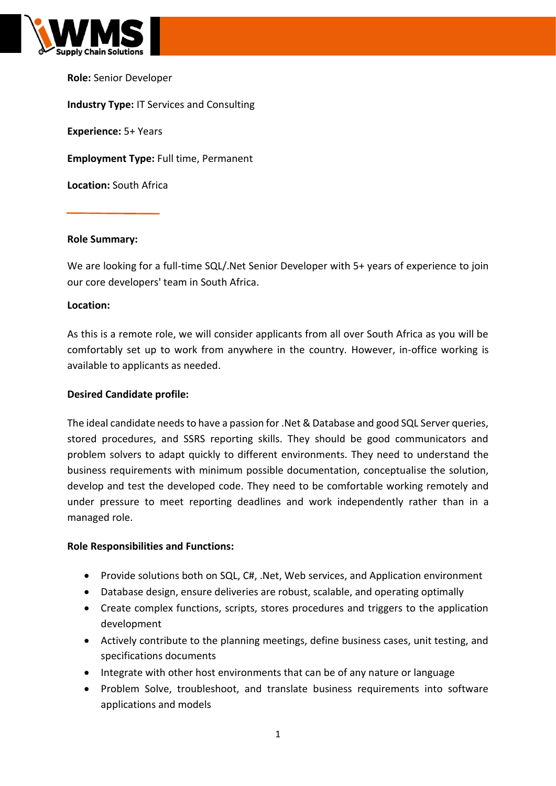

**Role:** Senior Developer **Industry Type:** IT Services and Consulting **Experience:** 5+ Years **Employment Type:** Full time, Permanent **Location:** South Africa

# **Role Summary:**

We are looking for a full-time SQL/.Net Senior Developer with 5+ years of experience to join our core developers' team in South Africa.

### **Location:**

As this is a remote role, we will consider applicants from all over South Africa as you will be comfortably set up to work from anywhere in the country. However, in-office working is available to applicants as needed.

# **Desired Candidate profile:**

The ideal candidate needs to have a passion for .Net & Database and good SQL Server queries, stored procedures, and SSRS reporting skills. They should be good communicators and problem solvers to adapt quickly to different environments. They need to understand the business requirements with minimum possible documentation, conceptualise the solution, develop and test the developed code. They need to be comfortable working remotely and under pressure to meet reporting deadlines and work independently rather than in a managed role.

### **Role Responsibilities and Functions:**

- Provide solutions both on SQL, C#, .Net, Web services, and Application environment
- Database design, ensure deliveries are robust, scalable, and operating optimally
- Create complex functions, scripts, stores procedures and triggers to the application development
- Actively contribute to the planning meetings, define business cases, unit testing, and specifications documents
- Integrate with other host environments that can be of any nature or language
- Problem Solve, troubleshoot, and translate business requirements into software applications and models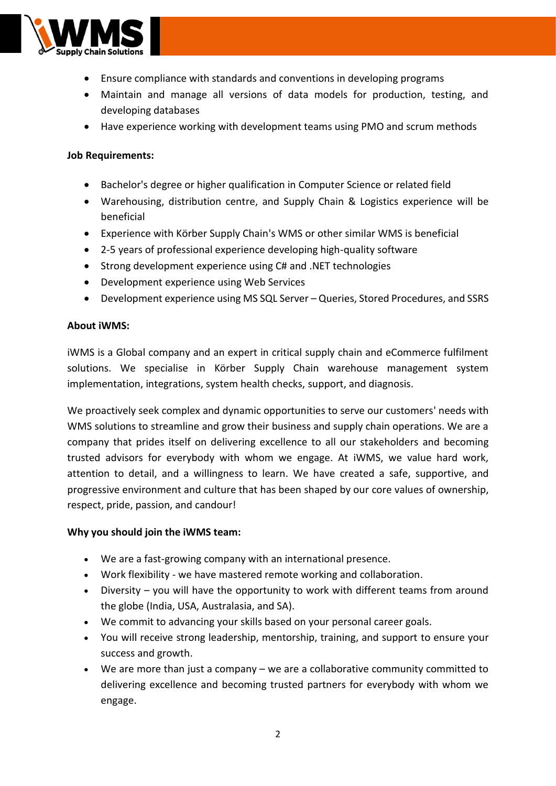

- Ensure compliance with standards and conventions in developing programs
- Maintain and manage all versions of data models for production, testing, and developing databases
- Have experience working with development teams using PMO and scrum methods

# **Job Requirements:**

- Bachelor's degree or higher qualification in Computer Science or related field
- Warehousing, distribution centre, and Supply Chain & Logistics experience will be beneficial
- Experience with Körber Supply Chain's WMS or other similar WMS is beneficial
- 2-5 years of professional experience developing high-quality software
- Strong development experience using C# and .NET technologies
- Development experience using Web Services
- Development experience using MS SQL Server Queries, Stored Procedures, and SSRS

### **About iWMS:**

iWMS is a Global company and an expert in critical supply chain and eCommerce fulfilment solutions. We specialise in Körber Supply Chain warehouse management system implementation, integrations, system health checks, support, and diagnosis.

We proactively seek complex and dynamic opportunities to serve our customers' needs with WMS solutions to streamline and grow their business and supply chain operations. We are a company that prides itself on delivering excellence to all our stakeholders and becoming trusted advisors for everybody with whom we engage. At iWMS, we value hard work, attention to detail, and a willingness to learn. We have created a safe, supportive, and progressive environment and culture that has been shaped by our core values of ownership, respect, pride, passion, and candour!

### **Why you should join the iWMS team:**

- We are a fast-growing company with an international presence.
- Work flexibility we have mastered remote working and collaboration.
- Diversity you will have the opportunity to work with different teams from around the globe (India, USA, Australasia, and SA).
- We commit to advancing your skills based on your personal career goals.
- You will receive strong leadership, mentorship, training, and support to ensure your success and growth.
- We are more than just a company we are a collaborative community committed to delivering excellence and becoming trusted partners for everybody with whom we engage.